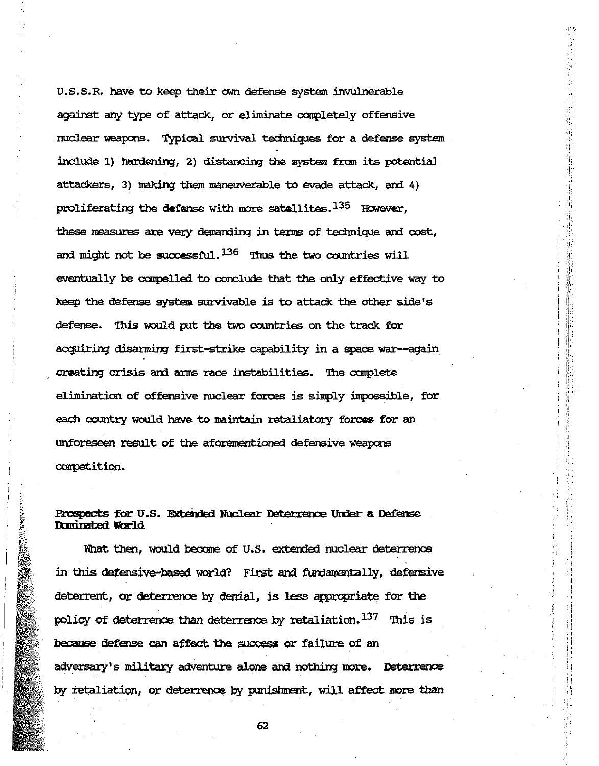U.S.S.R. have to keep their own defense system invulnerable against any type of attack, or eliminate completely offensive nuclear weapons. Typical survival techniques for a defense system include 1) hardening, 2) distancing the system from its potential attackers, 3) making them maneuverable to evade attack, and 4) proliferating the defense with more satellites.<sup>135</sup> However, these measures are very demanding in terms of technique and cost, and might not be successful,  $^{136}$  Thus the two countries will eventually be compelled to conclude that the only effective way to keep the defense system survivable is to attack the other side's defense. This would put the two countries on the track for acquiring disarming first-strike capability in a space war-again creating crisis and arms race instabilities. The complete elimination of offensive nuclear forces is simply impossible, for each country would have to maintain retaliatory forces for an unforeseen result of the aforementioned defensive weapons competition.

# Prospects for U.S. Extended Nuclear Deterrence Under a Defense Dominated World

What then, would become of U.S. extended nuclear deterrence in this defensive-based world? First and fundamentally, defensive deterrent, or deterrence by denial, is less appropriate for the policy of deterrence than deterrence by retaliation.<sup>137</sup> This is because defense can affect the success or failure of an adversary's military adventure alone and nothing more. Determence by retaliation, or deterrence by punishment, will affect more than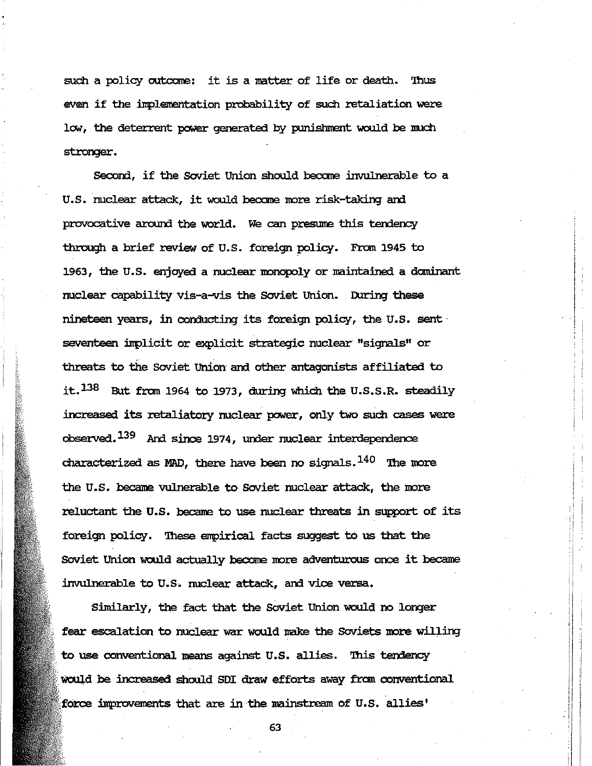such a policy outcome: it is a matter of life or death. Thus even if the implementation probability of such retaliation were low, the deterrent power generated by punishment would be much stronger.

Second, if the Soviet Union should become invulnerable to a U.S. nuclear attack, it would become more risk-taking and provocative around the world. We can presume this tendency through a brief review of U.S. foreign policy. From 1945 to 1963, the U.S. enjoyed a nuclear monopoly or maintained a dominant nuclear capability vis-a-vis the Soviet Union. During these nineteen years, in conducting its foreign policy, the U.S. sent seventeen implicit or explicit strategic nuclear "signals" or threats to the Soviet Union and other antagonists affiliated to it.<sup>138</sup> But from 1964 to 1973, during which the U.S.S.R. steadily increased its retaliatory nuclear power, only two such cases were observed.<sup>139</sup> And since 1974, under nuclear interdependence characterized as MAD, there have been no signals.  $^{140}$  The more the U.S. became vulnerable to Soviet nuclear attack, the more reluctant the U.S. became to use nuclear threats in support of its foreign policy. These empirical facts suggest to us that the Soviet Union would actually become more adventurous once it became invulnerable to U.S. nuclear attack, and vice versa.

Similarly, the fact that the Soviet Union would no longer fear escalation to nuclear war would make the Soviets more willing to use conventional means against U.S. allies. This tendency would be increased should SDI draw efforts away from conventional force improvements that are in the mainstream of U.S. allies'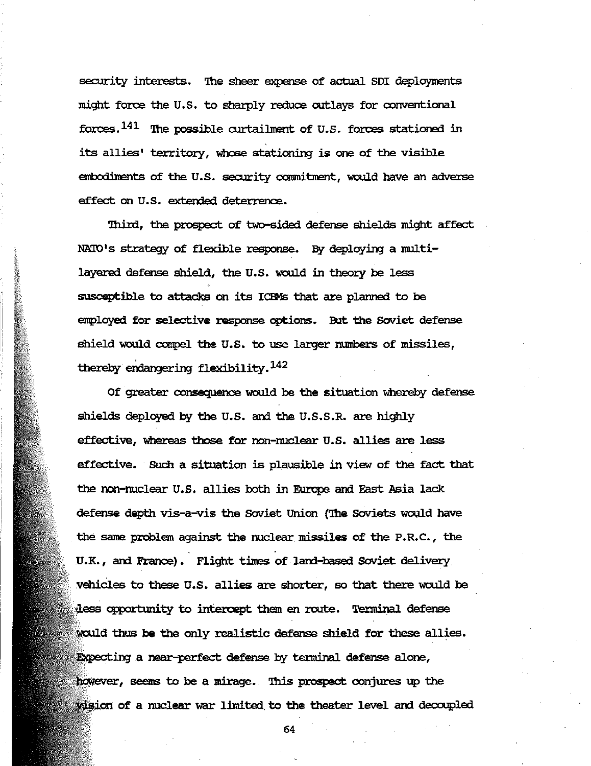security interests. The sheer expense of actual SDI deployments might force the U.S. to sharply reduce outlays for conventional forces.  $^{141}$  The possible curtailment of U.S. forces stationed in its allies' territory, whose stationing is one of the visible embodiments of the U.S. security commitment, would have an adverse effect on U.8. extended deterrence.

Third, the prospect of two-sided defense shields might affect NATO's strategy of flexible response. By deploying a multilayered defense shield, the U.8. would in theory be less susceptible to attacks on its ICDfs that are planned to be employed for selective response options. But the Soviet defense shield would compel the U.S. to use larger numbers of missiles, thereby endangering flexibility.  $^{142}$ 

Of greater consequence would be the situation whereby defense shields deployed by the U.S. and the U.S.S.R. are highly effective, whereas those for non-nuclear U.8. allies are less effective. Such a situation is plausible in view of the fact that the non-nuclear U.S. allies both in Europe and East Asia lack defense depth vis-a-vis the Soviet Union (The Soviets would have the same problem against the nuclear missiles of the P.R.C., the . . U.K., and France). Flight times of land-based Soviet delivery vehicles to these U.S. allies are shorter, so that there would be dess opportunity to intercept them en route. Terminal defense would thus be the only realistic defense shield for these allies. Expecting a near-perfect defense by terminal defense alone, however, seems to be a mirage. This prospect conjures up the wision of a nuclear war limited to the theater level and decoupled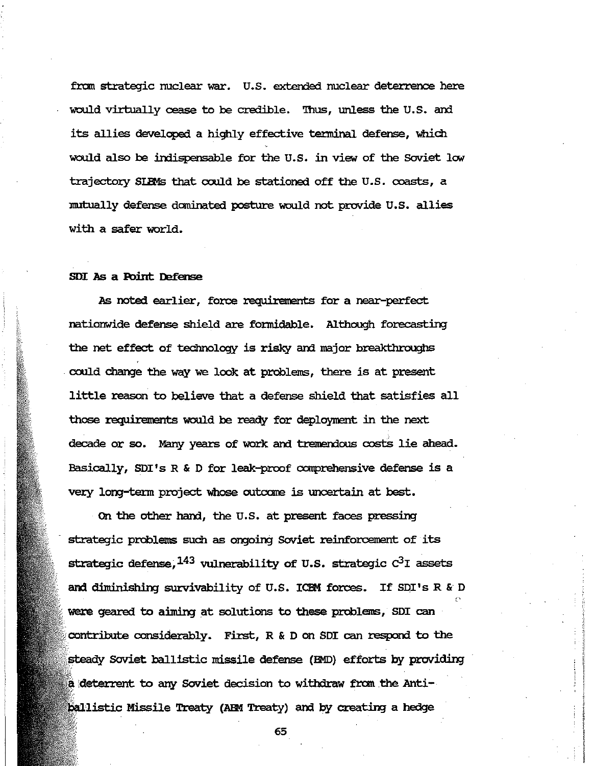from strategic nuclear war. U.S. extended nuclear deterrence here would virtually cease to be credible. Thus, unless the U.S. and its allies developed a highly effective terminal defense, which would also be indispensable for the U.S. in view of the Soviet low trajectory SIBMs that could be stationed off the U.S. coasts, a mutually defense dominated posture would not provide U.S. allies with a safer world.

#### SDI As a Point Defense

As noted earlier, force requirements for a near-perfect nationwide defense shield are formidable. Although forecasting the net effect of technology is risky and major breakthroughs could change the way we look at problems, there is at present little reason to believe that a defense shield that satisfies all those requirements would be ready for deployment in the next decade or so. Many years of work and tremendous costs lie ahead. Basically, SDI's R & D for leak-proof comprehensive defense is a very long-term project whose outcome is uncertain at best.

On the other hand, the U.S. at present faces pressing strategic problems such as ongoing Soviet reinforcement of its strategic defense,  $^{143}$  vulnerability of U.S. strategic  $C^3I$  assets and diminishing survivability of U.S. ICEM forces. If SDI's R & D were geared to aiming at solutions to these problems, SDI can contribute considerably. First,  $R$  & D on SDI can respond to the steady Soviet ballistic missile defense (BMD) efforts by providing a deterrent to any Soviet decision to withdraw from the Antiballistic Missile Treaty (ABM Treaty) and by creating a hedge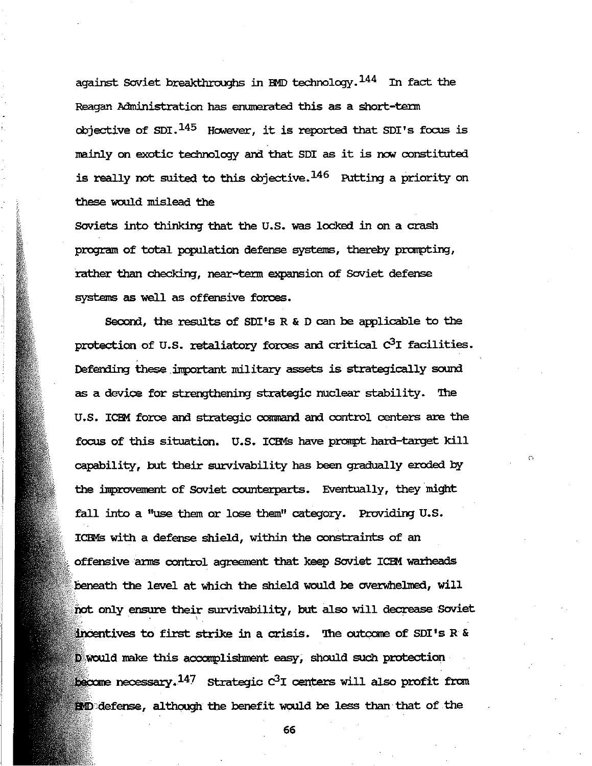against Soviet breakthroughs in BMD technology.  $^{144}$  In fact the Reagan Administration has enumerated this as a short-term objective of SDI. $^{145}$  However, it is reported that SDI's focus is mainly on exotic technology and that SDI as it is now constituted is really not suited to this objective.  $146$  Putting a priority on these would mislead the

Soviets into thinking that the U.S. was locked in on a crash program of total population defense systems, thereby prompting, rather than checking, near-term expansion of Soviet defense systems as well as offensive forces.

Second, the results of SDI's R & D can be applicable to the protection of U.S. retaliatory forces and critical  $C<sup>3</sup>I$  facilities. Defending these important military assets is strategically sound as a device for strengthening strategic nuclear stability. The U.S. ICEM force and strategic command and control centers are the focus of this situation. U.S. lCEMs have pranpt hard-target kill capability, but their suzvivability has been gradually eroded by the improvement of Soviet counterparts. Eventually, they might fall into a "use them or lose them" category. Providing U.S. ICEMs with a defense shield, within the constraints of an offensive arms control agreement that keep Soviet ICEM warheads beneath the level at which the shield would be overwhelmed, will not only ensure their survivability, but also will decrease Soviet incentives to first strike in a crisis. The outcome of SDI's R & D would make this accomplishment easy; should such protection hecome necessary. $^{147}$  Strategic  $\text{c}^3$ I centers will also profit from **M**D defense, although the benefit would be less than that of the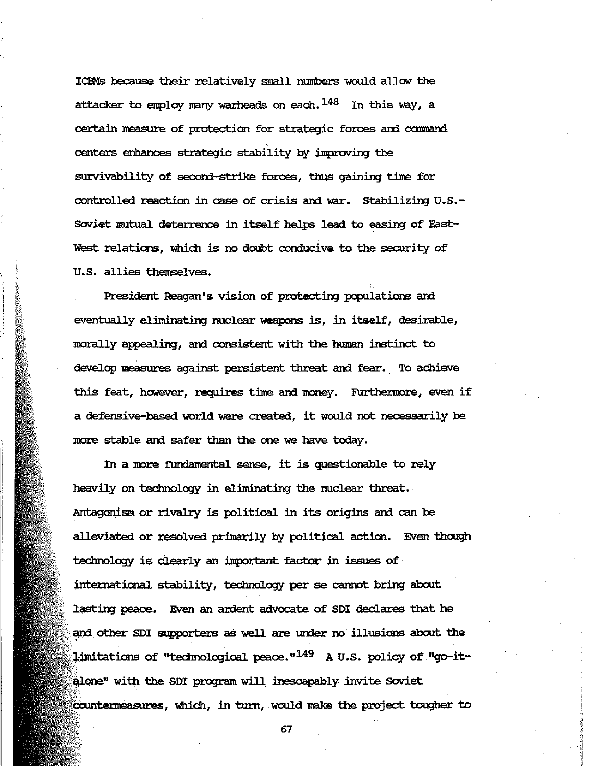ICEMs because their relatively small numbers would allow the attacker to employ many warheads on each.  $^{148}$  In this way, a certain measure of protection for strategic forces and command centers enhances strategic stability by inproving the survivability of second-strike forces, thus gaining time for controlled reaction in case of crisis and war. Stabilizing U.S.-Soviet ImItual deterrence in itself helps lead to easing of East-West relations, which is no doubt conducive to the security of U. S. allies themselves.

President Reagan's vision of protecting populations and eventually eliminating nuclear weapons is, in itself, desirable, morally appealing, and consistent with the human instinct to develop measures against persistent threat and fear. To achieve this feat, however, requires time and money. Furthermore, even if a defensive-based world were created, it would not necessarily be more stable and safer than the one we have today.

In a more fundamental sense, it is questionable to rely heavily on technology in eliminating the nuclear threat. Antagonism or rivalry is political in its origins and can be alleviated or resolved primarily by political action. Even though technology is clearly an inportant factor in issues of intematiqnal stability, technology per se cannot bring about lasting peace. Even an ardent advocate of SDI declares that he and other SDI supporters as well are under no illusions about the limitations of "technological peace." $^{149}$  A U.S. policy of "go-italone" with the SDI program will inescapably invite Soviet countermeasures, which, in turn, would make the project tougher to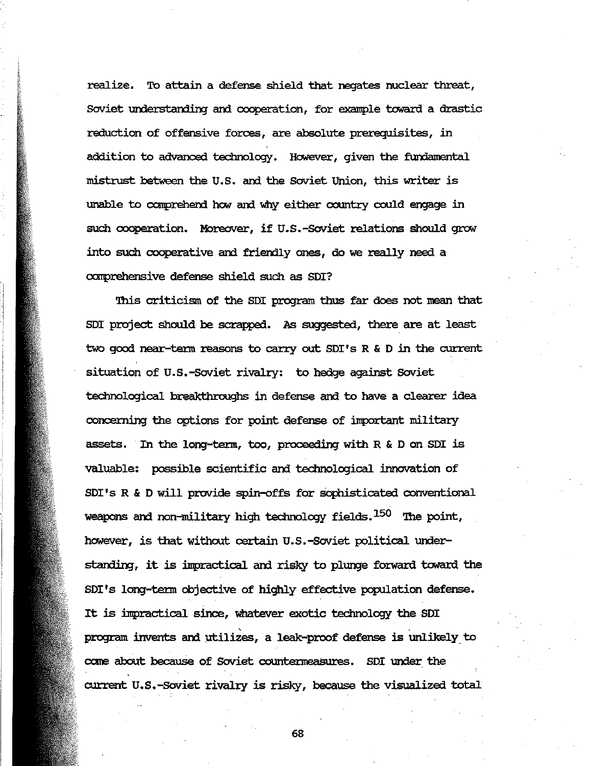realize. To attain a defense shield that negates nuclear threat, Soviet understanding and cooperation, for example toward a drastic reduction of offensive forces, are absolute prerequisites, in addition to advanced technology. However, given the fundamental mistrust between the U.S. and the Soviet Union, this writer is unable to comprehend how and why either country could engage in such cooperation. Moreover, if U.S.-Soviet relations should grow into such cooperative and friendly ones, do we really need a comprehensive defense shield such as SDI?

This criticism of the SDI program thus far does not mean that SDI project should be scrapped. As suggested, there are at least two good near-term reasons to carry out SDI's R & D in the current situation of U.S.-Soviet rivalry: to hedge against Soviet technological breakthroughs in defense and to have a clearer idea concerning the options for point defense of important military assets. In the long-term, too, proceeding with R & D on SDI is valuable: possible scientific and technological innovation of SDI's R & D will provide spin-offs for sophisticated conventional weapons and non-military high technology fields.<sup>150</sup> The point, however, is that without certain U.S.-Soviet political understanding, it is impractical and risky to plunge forward toward the SDI's long-term objective of highly effective population defense. It is impractical since, whatever exotic technology the SDI program invents and utilizes, a leak-proof defense is unlikely to come about because of Soviet countermeasures. SDI under the current U.S.-Soviet rivalry is risky, because the visualized total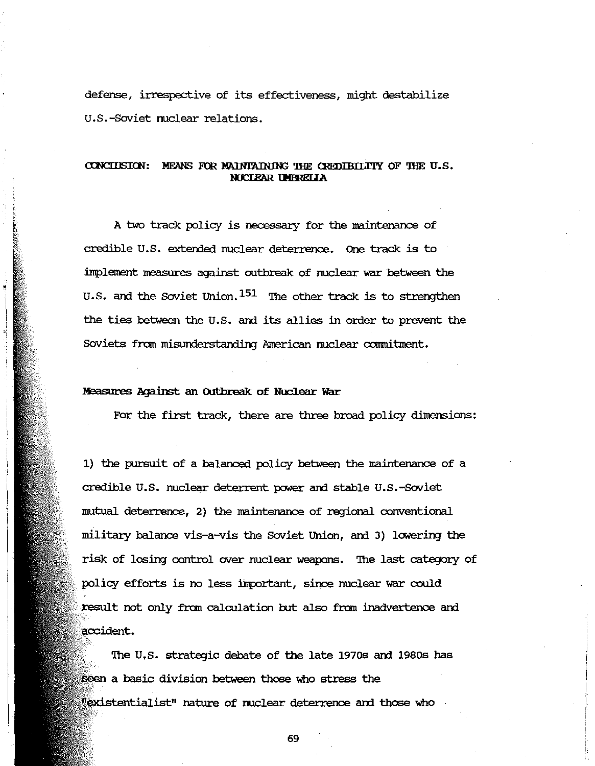defense, irrespective of its effectiveness, might destabilize U.S.-Soviet nuclear relations.

## CONCLUSION: MEANS FOR MAINTAINING THE CREDIBILITY OF THE U.S. NUCLEAR UMBRELLA

A two track policy is necessary for the maintenance of credible U.S. extended nuclear deterrence. One track is to implement measures against outbreak of nuclear war between the U.S. and the Soviet Union.  $151$  The other track is to strengthen the ties between the U.S. and its allies in order to prevent the Soviets from misunderstanding American nuclear commitment.

### Measures Against an Outbreak of Nuclear War

For the first track, there are three broad policy dimensions:

1) the pursuit of a balanced policy between the maintenance of a credible U.S. nuclear deterrent power and stable U.S.-Soviet mutual deterrence, 2) the maintenance of regional conventional military balance vis-a-vis the Soviet Union, and 3) lowering the risk of losing control over nuclear weapons. The last category of policy efforts is no less important, since nuclear war could result not only from calculation but also from inadvertence and accident.

The U.S. strategic debate of the late 1970s and 1980s has seen a basic division between those who stress the "existentialist" nature of nuclear deterrence and those who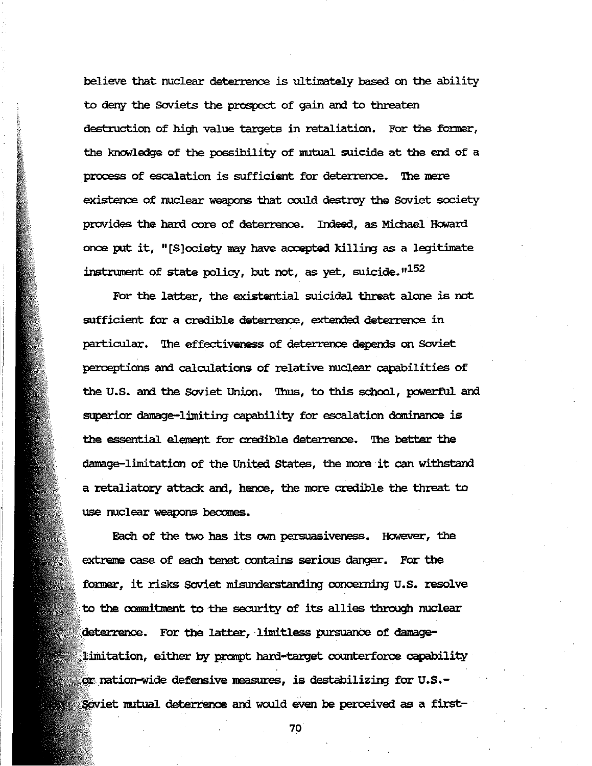believe that nuclear deterrence is ultimately based on the ability to deny the Soviets the prospect of gain and to threaten destruction of high value targets in retaliation. For the former, the knowledge of the possibility of mutual suicide at the end of a process of escalation is sufficient for deterrence. The mere existence of nuclear weapons that could destroy the Soviet society provides the hard core of deterrence. Indeed, as Michael Howard once put it, " $[S]$ ociety may have accepted killing as a legitimate instrument of state policy, but not, as yet, suicide."<sup>152</sup>

For the latter, the existential suicidal threat alone is not sufficient for a credible deterrence, extended deterrence in particular. The effectiveness of deterrence depends on Soviet perceptions ani calcuiations of relative nuclear capabilities of the U.S. and the Soviet Union. Thus, to this school, powerful and superior damage-limiting capability for escalation dominance is the essential element for credible deterrence. The better the damage-limitation of the United States, the more it can withstand a retaliatory attack and, hence, the more credible the threat to use nuclear weapons becomes.

Each of the two has its own persuasiveness. However, the extreme case of each tenet contains serious danger. For the former, it risks Soviet misunderstanding concerning U.S. resolve to the commitment to the security of its allies through nuclear deterrence. For the latter, limitless pursuance of damagelimitation, either by prompt hard-target counterforce capability or nation-wide defensive measures, is destabilizing for U.S.-Soviet mutual deterrence and would even be perceived as a first-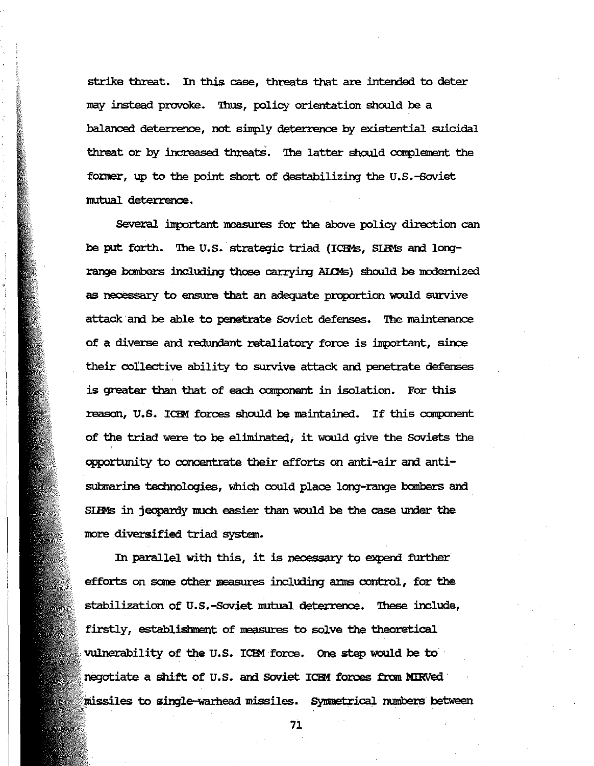strike threat. In this case, threats that are intended to deter may instead provoke. Thus, policy orientation should be a balanced deterrence, not simply deterrence by existential suicidal threat or by increased threats. The latter should complement the former, up to the point short of destabilizing the U.S.-Soviet mutual deterrence.

Several important measures for the above policy direction can be put forth. The U.S. strategic triad (ICEMs, SIBMs and longrange bombers including those carrying AIOMs) should be modernized as necessary to ensure that an adequate proportion would survive attack and be able to penetrate Soviet defenses. The maintenance of a diverse and redundant retaliatory force is important, since their collective ability to survive attack and penetrate defenses is greater than that of each component in isolation. For this reason, U.S. ICEM forces should be maintained. If this component of the triad were to be eliminated; it would give the Soviets the opportunity to concentrate their efforts on anti-air and antisutlnarine technologies, which could place long-range bombers am SIBMs in jeopardy much easier than would be the case under the more diversified triad system.

In parallel with this, it is necessary to expend further efforts on sane other measures including anns control, for the stabilization of U.S.-Soviet mutual deterrence. '!hese include, firstly, establishment of measures to solve the theoretical vulnerability of the U.S. ICEM force. One step would be to negotiate a shift of U.S. am Soviet lCEM forces from MIRVed· missiles to single-warhead missiles. Symmetrical numbers between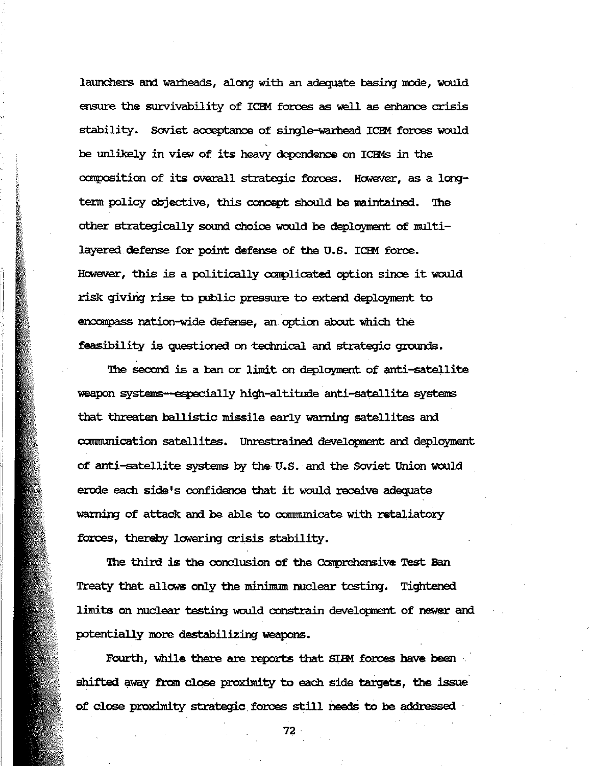launchers and warheads, along with an adequate basing mode, would ensure the survivability of ICEM forces as well as enhance crisis stability. Soviet acceptance of single-warhead ICEM forces would be unlikely in *view* of its heavy dependence on lCEMs in the composition of its overall strategic forces. However, as a longterm policy objective, this concept should be maintained. The other strategically sound choice would be deployment of multilayered defense for point defense of the U.5. lCEM force. However, this is a politically complicated option since it would risk giving rise to public pressure to extend deployment to encompass nation-wide defense, an option about which the feasibility is questioned on technical and strategic grounds.

The second is a ban or limit on deployment of anti-satellite weapon systems-especially high-altitude anti-satellite systems that threaten ballistic missile early warning satellites and communication satellites. Unrestrained development and deployment of anti-satellite systems by the U.S. and the Soviet Union would erode each side's confidence that it would receive adequate warning of attack and be able to communicate with retaliatory forces, thereby lowering crisis stability.

The third is the conclusion of the Comprehensive Test Ban Treaty that allows only the minimum nuclear testing. Tightened limits on nuclear testing would constrain development of newer and potentially more destabilizing weapons.

Fourth, while there are reports that SIBM forces have been shifted away from close proximity to each side targets, the issue of close proximity strategic. forces still needs to be addressed

72·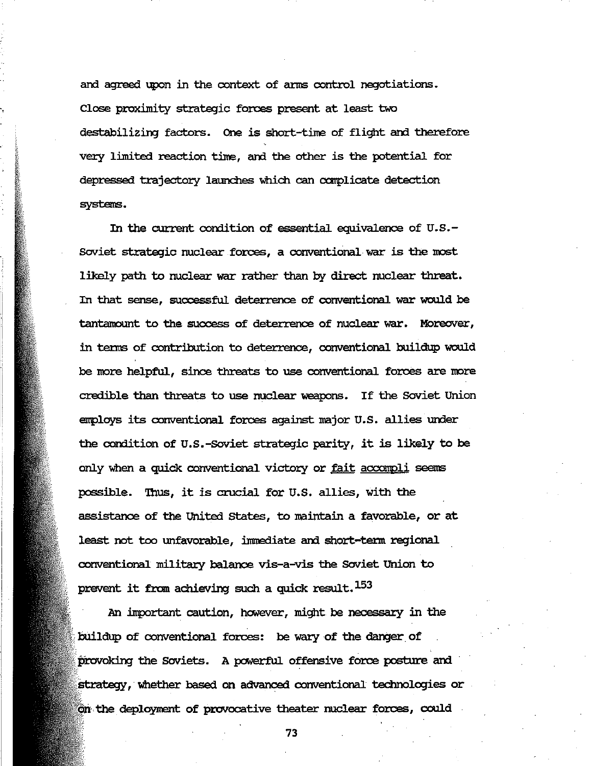and agreed upon in the context of arms control negotiations. Close proximity strategic forces present at least two destabilizing factors. One is short-time of flight and therefore very limited reaction time, and the other is the potential for depressed trajectory launches which can complicate detection systems.

In the current condition of essential equivalence of  $U.S.-$ Soviet strategic nuclear forces, a conventional war is the most likely path to nuclear war rather than by direct nuclear threat. In that sense, successful deterrence of conventional war would be tantamount to the success of deterrence of nuclear war. MOreover, in terms of contribution to deterrence, conventional buildup would be more helpful, since threats to use conventional forces are more credible than threats to use nuclear weapons. If the Soviet Union employs its conventional forces against major U.S. allies under the condition of U.S.-Soviet strategic parity, it is likely to be only when a quick conventional victory or fait accompli seems possible. Thus, it is crucial for U.S. allies, with the assistance of the United states, to maintain a favorable, or at least not too unfavorable, immediate and short-term regional conventional military balance vis-a-vis the Soviet Union to prevent it from achieving such a quick result. 153

An inportant caution, however, might. be necessary in the buildup of conventional forces: be wary of the danger of provoking the Soviets. A powerful offensive force posture and strategy, whether based on advanced conventional technologies or .. the deployment of provocative theater nuclear forces, could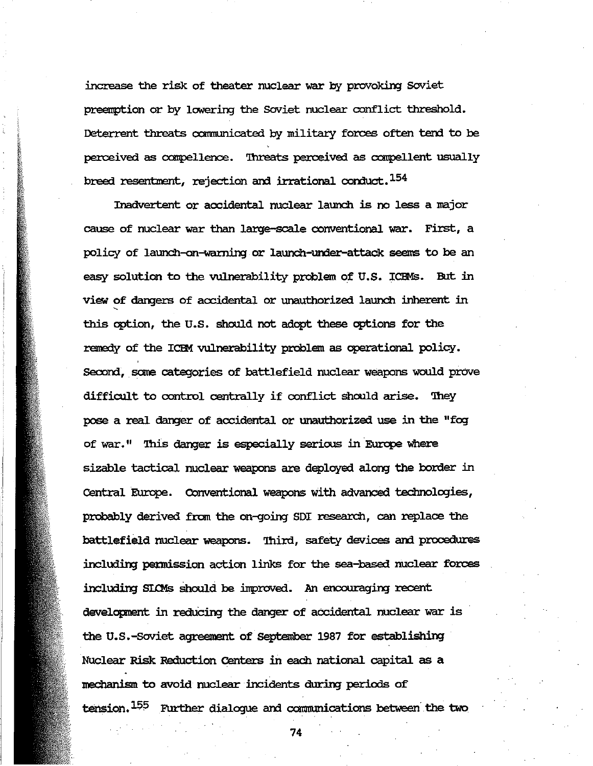increase the risk of theater nuclear war by provoking Soviet preemption or by lowering the Soviet nuclear conflict threshold. Deterrent threats communicated by military forces often tend to be perceived as compellence. Threats perceived as compellent usually breed resentment, rejection and irrational conduct.<sup>154</sup>

Inadvertent or accidental nuclear launch is no less a major cause of nuclear war than large-scale conventional war. First, a policy of launch-on-warning or launch-under-attack seems to be an easy solution to the vulnerability problem of U.S. ICEMs. But in view of dangers of accidental or unauthorized launch inherent in this option, the U.S. should not adopt these options for the remedy of the ICBM vulnerability problem as operational policy. Second, some categories of battlefield nuclear weapons would prove difficult to control centrally if conflict should arise. They pose a real danger of accidental or unauthorized use in the "fog of war." This danger is especially serious in Europe where sizable tactical nuclear weapons are deployed along the border in Central Europe. Conventional weapons with advanced technologies, probably derived from the on-going SDI research, can replace the battlefield nuclear weapons. Third, safety devices and procedures including permission action links for the sea-based nuclear forces including SLOMs should be improved. An encouraging recent development in reducing the danger of accidental nuclear war is the U.S.-Soviet agreement of September 1987 for establishing Nuclear Risk Reduction Centers in each national capital as a mechanism to avoid nuclear incidents during periods of tension.<sup>155</sup> Further dialogue and communications between the two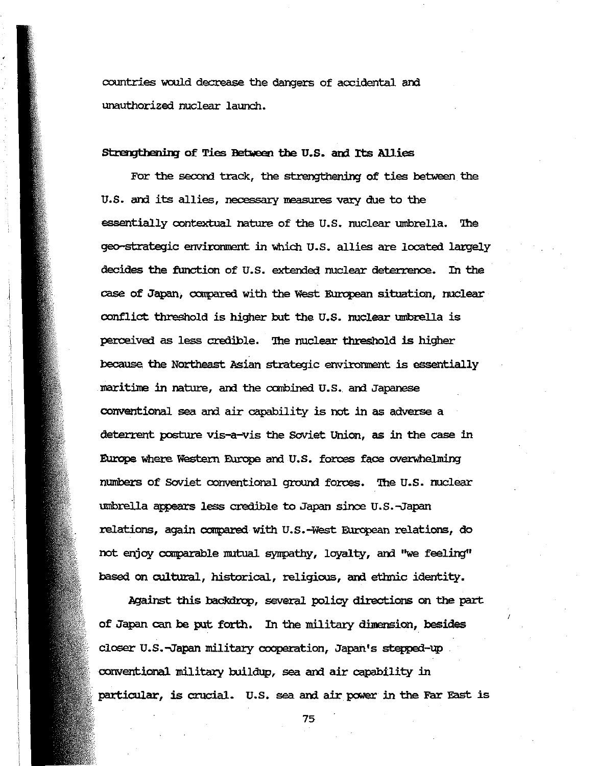countries would decrease the dangers of accidental and unauthorized nuclear launch.

#### Strengthening of Ties Between the U.S. and Its Allies

For the second track, the strengthening of ties between the U.S. and its allies, necessary measures vary due to the essentially contextual nature of the U.S. nuclear umbrella. The geo-strategic environment in which U.S. allies are located largely decides the function of U.S. extended nuclear deterrence. In the case of Japan, compared with the West European situation, nuclear conflict threshold is higher but the U.S. nuclear umbrella is perceived as less credible. The nuclear threshold is higher because the Northeast Asian strategic environment is essentially maritime in nature, and the combined U.S. and Japanese conventional sea and air capability is not in as adverse a deterrent posture vis-a-vis the Soviet Union, as in the case in Europe where Western Europe and U.S. forces face overwhelming numbers of Soviet conventional ground forces. The U.S. nuclear umbrella appears less credible to Japan since U.S.-Japan relations, again compared with U.S.-West European relations, do not enjoy comparable mutual sympathy, loyalty, and "we feeling" based on cultural, historical, religious, and ethnic identity.

Against this backdrop, several policy directions on the part of Japan can be put forth. In the military dimension, besides closer U.S.-Japan military cooperation, Japan's stepped-up conventional military buildup, sea and air capability in particular, is crucial. U.S. sea and air power in the Far East is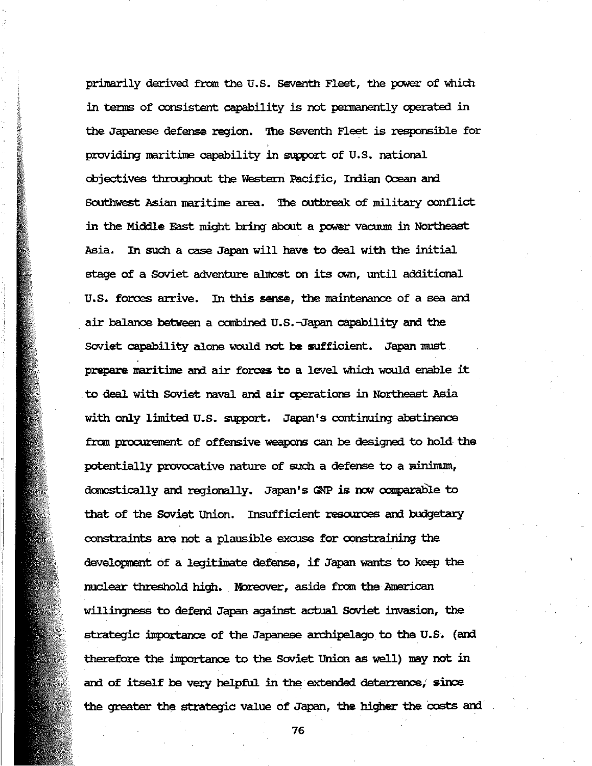primarily derived fram the U.5. Seventh Fleet, the power of which in tenns of consistent capability is not pennanently operated in the Japanese defense region. The Seventh Fleet is responsible for providing maritime capability in support of U.S. national objectives throughout the Western Pacific, Indian Ocean and Southwest Asian maritime area. The outbreak of military conflict in the Middle East might bring about a power vacuum in Northeast Asia. In such a case Japan will have to deal with the initial stage of a Soviet adventure almost on its own, until additional U.S. forces arrive. In this sense, the maintenance of a sea and air balance between a combined U.S.-Japan capability and the Soviet capability alone would not be sufficient. Japan must prepare maritine ani air forces to a level which would enable it . to deal with Soviet naval ani air operations in Northeast Asia with only limited u.s. support. Japan's continuing abstinence fram procurement of offensive weapons can be designed to hold the potentially provocative nature of such a defense to a minimum, domestically and regionally. Japan's GNP is now comparable to that of the Soviet Union. Insufficient resources and budgetary constraints are not a plausible excuse for constraining the development of a legitimate defense, if Japan wants to keep the nuclear threshold high. Moreover, aside from the American willingness to defend Japan against actual soviet invasion, the· strategic importance of the Japanese archipelago to the U.S. (and therefore the importance to the Soviet Union as well) may not in and of itself be very helpful in the extended deterrence, since the greater the strategic value of Japan, the higher the costs and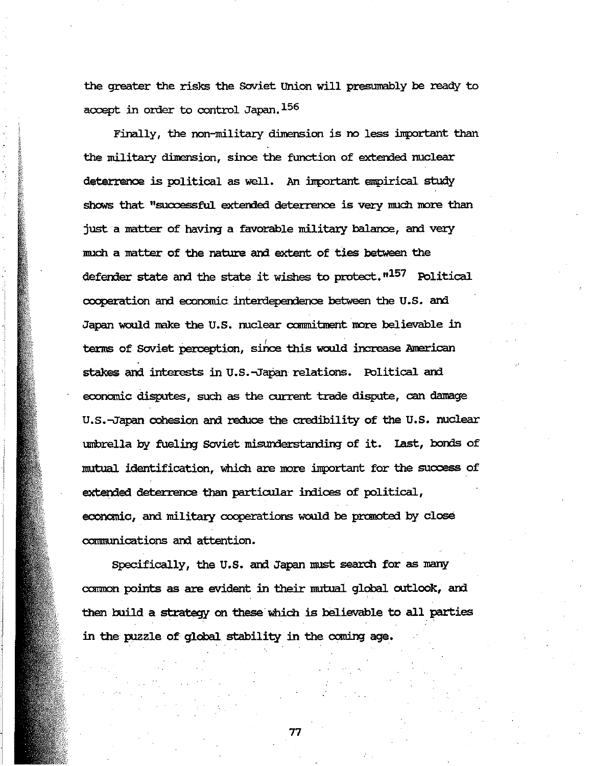the greater the risks the Soviet Union will presumably be ready to accept in order to control Japan. $156$ 

Finally, the non-military dimension is no less important than the military dimension, since the function of extended nuclear deterrence is political as well. An inportant empirical study shows that "successful extended deterrence is very much more than just a matter of having a favorable military balance, and very much a matter of the nature and extent of ties between the defender state and the state it wishes to protect.  $n^{157}$  Political cooperation and economic interdependence between the U.S. and Japan would make the U.S. nuclear commitment more believable in terms of Soviet perception, since this would increase American stakes and interests in U.S.-Japan relations. Political and economic disputes, such as the current trade dispute, can damage U.S.-Japan cohesion and reduce the credibility of the U.S. nuclear umbrella by fueling Soviet misunderstanding of it. Last, bonds of mutual identification, which are more important for the success of extended deterrence than particular inlices of political, economic, and military cooperations would be promoted by close communications and attention.

Specifically, the U.S. and Japan must search for as many common points as are evident in their mutual global outlook, and then build a strategy on these which is believable to all parties in the puzzle of global stability in the caning age.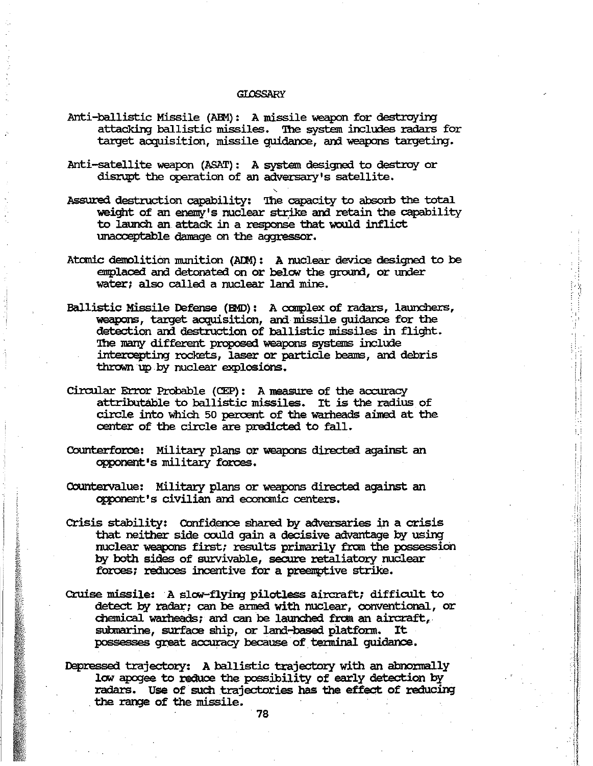#### **GLOSSARY**

- Anti-ballistic Missile (ABM): A missile weapon for destroying attacking ballistic missiles. '!he system includes radars for target acquisition, missile quidance, and weapons targeting.
- Anti-satellite weapon (ASAT): A system designed to destroy or disrupt the operation of an adversary's satellite.
- Assured destruction capability: The capacity to absorb the total weight of an enemy's nuclear strike and retain the capability to launch an attack in a response that would inflict unacceptable damage on the aggressor.
- Atomic demolition munition (ADM): A nuclear device designed to be emplaced and detonated on or below the ground, or under water; also called a nuclear land mine.
- Ballistic Missile Defense (BID): A ccmplex of radars, launchers, weapons, target acquisition, and missile guidance for the detection and destruction of ballistic missiles in flight. The many different proposed weapons systems include intercepting rockets, laser or particle beams, and debris thrown up by nuclear explosions.

,

- circular Error Probable (CEP): A measure of the accuracy attributable to ballistic missiles. It is the radius of circle into which 50 percent of the warheads aimed at the center of the circle are predicted to fall.
- Counterforce: Military plans or weapons directed against an opponent's military forces.
- Countervalue: Military plans or weapons directed against an opponent's civilian am economic centers.
- crisis stability: Confidence shared by adversaries in a crisis that neither side could gain a decisive advantage by using nuclear weapons first; results primarily from the possession by both sides of survivable, secure retaliatory nuclear forces; reduces incentive for a preemptive strike.
- Cruise missile: A slow-flying pilotless aircraft; difficult to detect by radar; can be anned with nuclear, conventional, or chemical warheads; and can be launched from an aircraft, submarine, surface ship, or land-based platform. It possesses great accuracy because of terminal guidance.
- Depressed trajectory: A ballistic trajectory with an abnormally IOW' apogee to reduce the possibility of early detection by radars. Use of such trajectories has the effect of reducing . the range of the missile.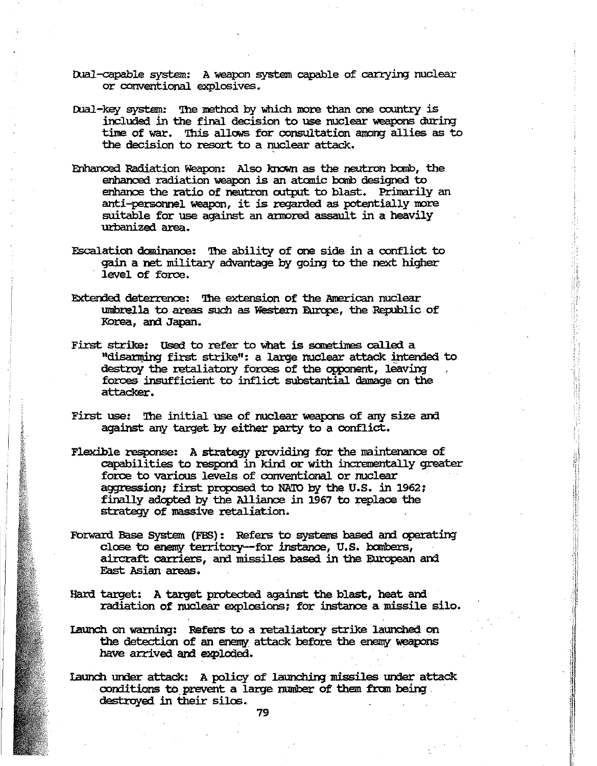- Dual-capable system: A weapon system capable of carrying nuclear or conventional explosives.
- Dual-key system: The method by which more than one country is included in the final decision to use nuclear weapons during time of war. This allows for consultation among allies as to the decision to resort to a nuclear attack.
- Enhanced Radiation Weapon: Also known as the neutron banb, the enbanoed radiation weapon is an atanic banb designed to enhance the ratio of neutron output to blast. Primarily an anti-personnel weapon, it is regarded as potentially more suitable for use against an armored assault in a heavily urbanized area.
- Escalation daninance: 'Ihe ability of one side in a conflict to gain a net military advantage by going to the next higher level of force.
- Extended deterrence: The extension of the American nuclear umbrella to areas such as Western Europe, the Republic of Korea, and Japan.
- First strike: Used to refer to what is sometimes called a "disarming first strike": a large nuclear attack intended to destroy the retaliatory forces of the opponent, leaving forces insufficient to inflict substantial damage on the attacker.
- First use: The initial use of nuclear weapons of any size and against any taxget by either party to a conflict.
- Flexible response: A strategy providing for the maintenance of capabilities to respond in kind or with incrementally greater force to various levels of conventional or nuclear aggression; first proposed to NATO by the U.S. in 1962; finally adopted by the Alliance in 1967 to replace the strategy of massive retaliation.

!i.l

- Forward Base System (FBS): Refers to systems based and operating close to enemy territory--for instance, U.S. bombers, aircraft carriers, and missiles based in the European and East Asian areas.
- Hard target: A target protected against the blast, heat and radiation of nuclear explosions; for instance a missile silo.
- Launch on warning: Refers to a retaliatory strike launched on the detection of an enemy attack before. the enemy weapons have arrived and exploded.
- Iaunch under attack: A policy of Iaunching missiles under attack conditions to prevent a large number of them from being. destroyed in their silos.